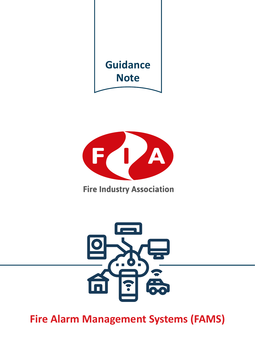



**Fire Industry Association** 



**Fire Alarm Management Systems (FAMS)**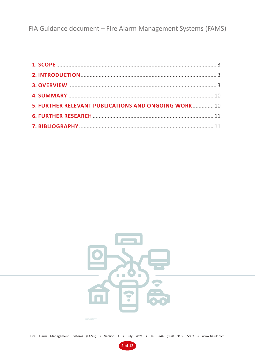FIA Guidance document – Fire Alarm Management Systems (FAMS)

| 5. FURTHER RELEVANT PUBLICATIONS AND ONGOING WORK 10 |  |
|------------------------------------------------------|--|
|                                                      |  |
|                                                      |  |



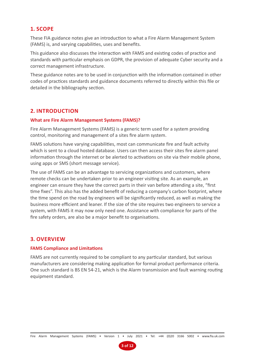# **1. SCOPE**

These FIA guidance notes give an introduction to what a Fire Alarm Management System (FAMS) is, and varying capabilities, uses and benefits.

This guidance also discusses the interaction with FAMS and existing codes of practice and standards with particular emphasis on GDPR, the provision of adequate Cyber security and a correct management infrastructure.

These guidance notes are to be used in conjunction with the information contained in other codes of practices standards and guidance documents referred to directly within this file or detailed in the bibliography section.

# **2. INTRODUCTION**

# **What are Fire Alarm Management Systems (FAMS)?**

Fire Alarm Management Systems (FAMS) is a generic term used for a system providing control, monitoring and management of a sites fire alarm system.

FAMS solutions have varying capabilities, most can communicate fire and fault activity which is sent to a cloud hosted database. Users can then access their sites fire alarm panel information through the internet or be alerted to activations on site via their mobile phone, using apps or SMS (short message service).

The use of FAMS can be an advantage to servicing organizations and customers, where remote checks can be undertaken prior to an engineer visiting site. As an example, an engineer can ensure they have the correct parts in their van before attending a site, "first time fixes". This also has the added benefit of reducing a company's carbon footprint, where the time spend on the road by engineers will be significantly reduced, as well as making the business more efficient and leaner. If the size of the site requires two engineers to service a system, with FAMS it may now only need one. Assistance with compliance for parts of the fire safety orders, are also be a major benefit to organisations.

# **3. OVERVIEW**

# **FAMS Compliance and Limitations**

FAMS are not currently required to be compliant to any particular standard, but various manufacturers are considering making application for formal product performance criteria. One such standard is BS EN 54-21, which is the Alarm transmission and fault warning routing equipment standard.

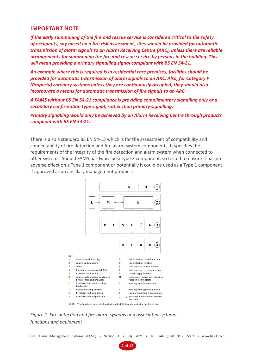# **IMPORTANT NOTE**

*If the early summoning of the fire and rescue service is considered critical to the safety of occupants, say based on a fire risk assessment, sites should be provided for automatic transmission of alarm signals to an Alarm Receiving Centre (ARC), unless there are reliable arrangements for summoning the fire and rescue service by persons in the building. This will mean providing a primary signalling signal compliant with BS EN 54-21.*

*An example where this is required is in residential care premises, facilities should be provided for automatic transmission of alarm signals to an ARC. Also, for Category P (Property) category systems unless they are continuously occupied, they should also incorporate a means for automatic transmission of fire signals to an ARC.*

*A FAMS without BS EN 54-21 compliance is providing complimentary signalling only or a secondary confirmation type signal, rather than primary signalling.*

*Primary signalling would only be achieved by an Alarm Receiving Centre through products compliant with BS EN 54-21.* 

There is also a standard BS EN 54-13 which is for the assessment of compatibility and connectability of fire detection and fire alarm system components. It specifies the requirements of the integrity of the fire detection and alarm system when connected to other systems. Should FAMS hardware be a type 2 component, so tested to ensure it has no adverse effect on a Type 1 component or potentially it could be used as a Type 1 component, if approved as an ancillary management product?



*Figure 1. Fire detection and fire alarm systems and associated systems, functions and equipment*

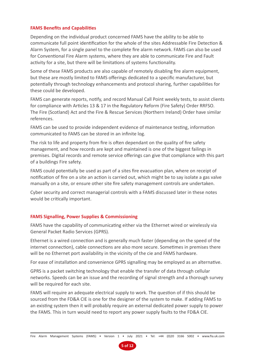### **FAMS Benefits and Capabilities**

Depending on the individual product concerned FAMS have the ability to be able to communicate full point identification for the whole of the sites Addressable Fire Detection & Alarm System, for a single panel to the complete fire alarm network. FAMS can also be used for Conventional Fire Alarm systems, where they are able to communicate Fire and Fault activity for a site, but there will be limitations of systems functionality.

Some of these FAMS products are also capable of remotely disabling fire alarm equipment, but these are mostly limited to FAMS offerings dedicated to a specific manufacturer, but potentially through technology enhancements and protocol sharing, further capabilities for these could be developed.

FAMS can generate reports, notify, and record Manual Call Point weekly tests, to assist clients for compliance with Articles 13 & 17 in the Regulatory Reform (Fire Safety) Order RRFSO. The Fire (Scotland) Act and the Fire & Rescue Services (Northern Ireland) Order have similar references.

FAMS can be used to provide independent evidence of maintenance testing, information communicated to FAMS can be stored in an infinite log.

The risk to life and property from fire is often dependant on the quality of fire safety management, and how records are kept and maintained is one of the biggest failings in premises. Digital records and remote service offerings can give that compliance with this part of a buildings Fire safety.

FAMS could potentially be used as part of a sites fire evacuation plan, where on receipt of notification of fire on a site an action is carried out, which might be to say isolate a gas valve manually on a site, or ensure other site fire safety management controls are undertaken.

Cyber security and correct managerial controls with a FAMS discussed later in these notes would be critically important.

# **FAMS Signalling, Power Supplies & Commissioning**

FAMS have the capability of communicating either via the Ethernet wired or wirelessly via General Packet Radio Services (GPRS).

Ethernet is a wired connection and is generally much faster (depending on the speed of the internet connection), cable connections are also more secure. Sometimes in premises there will be no Ethernet port availability in the vicinity of the cie and FAMS hardware.

For ease of installation and convenience GPRS signalling may be employed as an alternative.

GPRS is a packet switching technology that enable the transfer of data through cellular networks. Speeds can be an issue and the recording of signal strength and a thorough survey will be required for each site.

FAMS will require an adequate electrical supply to work. The question of if this should be sourced from the FD&A CIE is one for the designer of the system to make. If adding FAMS to an existing system then it will probably require an external dedicated power supply to power the FAMS. This in turn would need to report any power supply faults to the FD&A CIE.

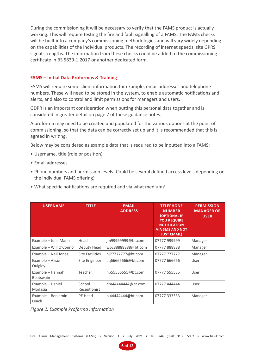During the commissioning it will be necessary to verify that the FAMS product is actually working. This will require testing the fire and fault signalling of a FAMS. The FAMS checks will be built into a company's commissioning methodologies and will vary widely depending on the capabilities of the individual products. The recording of internet speeds, site GPRS signal strengths. The information from these checks could be added to the commissioning certificate in BS 5839-1:2017 or another dedicated form.

# **FAMS – Initial Data Proformas & Training**

FAMS will require some client information for example, email addresses and telephone numbers. These will need to be stored in the system, to enable automatic notifications and alerts, and also to control and limit permissions for managers and users.

GDPR is an important consideration when putting this personal data together and is considered in greater detail on page 7 of these guidance notes.

A proforma may need to be created and populated for the various options at the point of commissioning, so that the data can be correctly set up and it is recommended that this is agreed in writing.

Below may be considered as example data that is required to be inputted into a FAMS:

- Username, title (role or position)
- Email addresses
- Phone numbers and permission levels (Could be several defined access levels depending on the individual FAMS offering)
- What specific notifications are required and via what medium?

| <b>USERNAME</b>                      | <b>TITLE</b>           | <b>EMAIL</b><br><b>ADDRESS</b> | <b>TELEPHONE</b><br><b>NUMBER</b><br><b>(OPTIONAL IF</b><br><b>YOU REQUIRE</b><br><b>NOTIFICATION</b><br><b>VIA SMS AND NOT</b><br><b>JUST EMAIL)</b> | <b>PERMISSION</b><br><b>MANAGER OR</b><br><b>USER</b> |
|--------------------------------------|------------------------|--------------------------------|-------------------------------------------------------------------------------------------------------------------------------------------------------|-------------------------------------------------------|
| Example - Julie Mann                 | Head                   | jm99999999@bt.com              | 07777 999999                                                                                                                                          | Manager                                               |
| Example - Will O'Connor              | Deputy Head            | woc88888888@bt.com             | 07777888888                                                                                                                                           | Manager                                               |
| Example - Neil Jones                 | Site Facilities        | nj77777777@bt.com              | 07777777777                                                                                                                                           | Manager                                               |
| Example - Alison<br>Quigley          | Site Engineer          | ag66666666@bt.com              | 07777 666666                                                                                                                                          | User                                                  |
| Example - Hannah<br><b>Boatswain</b> | Teacher                | hb55555555@bt.com              | 07777 555555                                                                                                                                          | User                                                  |
| Example - Daniel<br>Modasia          | School<br>Receptionist | dm4444444@bt.com               | 07777 444444                                                                                                                                          | User                                                  |
| Example - Benjamin<br>Leach          | PE Head                | bl4444444@bt.com               | 07777 333333                                                                                                                                          | Manager                                               |

*Figure 2. Example Proforma Information*

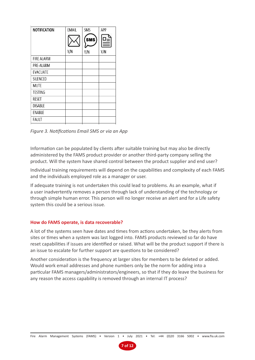| <b>EMAIL</b> | SMS        | APP |
|--------------|------------|-----|
|              | <b>SMS</b> | 먈   |
| Y/N          | Y/N        | Y/N |
|              |            |     |
|              |            |     |
|              |            |     |
|              |            |     |
|              |            |     |
|              |            |     |
|              |            |     |
|              |            |     |
|              |            |     |
|              |            |     |
|              |            |     |

*Figure 3. Notifications Email SMS or via an App*

Information can be populated by clients after suitable training but may also be directly administered by the FAMS product provider or another third-party company selling the product. Will the system have shared control between the product supplier and end user?

Individual training requirements will depend on the capabilities and complexity of each FAMS and the individuals employed role as a manager or user.

If adequate training is not undertaken this could lead to problems. As an example, what if a user inadvertently removes a person through lack of understanding of the technology or through simple human error. This person will no longer receive an alert and for a Life safety system this could be a serious issue.

# **How do FAMS operate, is data recoverable?**

A lot of the systems seen have dates and times from actions undertaken, be they alerts from sites or times when a system was last logged into. FAMS products reviewed so far do have reset capabilities if issues are identified or raised. What will be the product support if there is an issue to escalate for further support are questions to be considered?

Another consideration is the frequency at larger sites for members to be deleted or added. Would work email addresses and phone numbers only be the norm for adding into a particular FAMS managers/administrators/engineers, so that if they do leave the business for any reason the access capability is removed through an internal IT process?

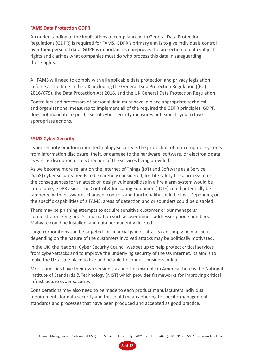#### **FAMS Data Protection GDPR**

An understanding of the implications of compliance with General Data Protection Regulations (GDPR) is required for FAMS. GDPR's primary aim is to give individuals control over their personal data. GDPR is important as it improves the protection of data subjects' rights and clarifies what companies must do who process this data in safeguarding those rights.

All FAMS will need to comply with all applicable data protection and privacy legislation in force at the time in the UK, including the General Data Protection Regulation ((EU) 2016/679), the Data Protection Act 2018, and the UK General Data Protection Regulation.

Controllers and processors of personal data must have in place appropriate technical and organizational measures to implement all of the required the GDPR principles. GDPR does not mandate a specific set of cyber security measures but expects you to take appropriate actions.

# **FAMS Cyber Security**

Cyber security or information technology security is the protection of our computer systems from information disclosure, theft, or damage to the hardware, software, or electronic data as well as disruption or misdirection of the services being provided.

As we become more reliant on the Internet of Things (IoT) and Software as a Service (SaaS) cyber security needs to be carefully considered, for Life safety fire alarm systems, the consequences for an attack on design vulnerabilities in a fire alarm system would be intolerable, GDPR aside. The Control & Indicating Equipment) (CIE) could potentially be tampered with, passwords changed, controls and functionality could be lost. Depending on the specific capabilities of a FAMS, areas of detection and or sounders could be disabled.

There may be phishing attempts to acquire sensitive customer or our managers/ administrators /engineer's information such as usernames, addresses phone numbers. Malware could be installed, and data permanently deleted.

Large corporations can be targeted for financial gain or attacks can simply be malicious, depending on the nature of the customers involved attacks may be politically motivated.

In the UK, the National Cyber Security Council was set up to help protect critical services from cyber-attacks and to improve the underlying security of the UK internet. Its aim is to make the UK a safe place to live and be able to conduct business online.

Most countries have their own versions, as another example in America there is the National Institute of Standards & Technology (NIST) which provides frameworks for improving critical infrastructure cyber security.

Considerations may also need to be made to each product manufacturers individual requirements for data security and this could mean adhering to specific management standards and processes that have been produced and accepted as good practice.

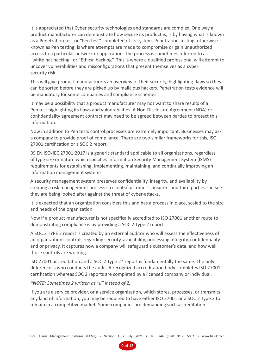It is appreciated that Cyber security technologies and standards are complex. One way a product manufacturer can demonstrate how secure its product is, is by having what is known as a Penetration test or "Pen test" completed of its system. Penetration Testing, otherwise known as Pen testing, is where attempts are made to compromise or gain unauthorized access to a particular network or application. The process is sometimes referred to as "white hat hacking" or "Ethical hacking". This is where a qualified professional will attempt to uncover vulnerabilities and misconfigurations that present themselves as a cyber security risk.

This will give product manufacturers an overview of their security, highlighting flaws so they can be sorted before they are picked up by malicious hackers. Penetration tests evidence will be mandatory for some companies and compliance schemes.

It may be a possibility that a product manufacturer may not want to share results of a Pen test highlighting its flaws and vulnerabilities. A Non-Disclosure Agreement (NDA) or confidentiality agreement contract may need to be agreed between parties to protect this information.

Now in addition to Pen tests control processes are extremely important. Businesses may ask a company to provide proof of compliance. There are two similar frameworks for this, ISO 27001 certification or a SOC 2 report.

BS EN ISO/IEC 27001:2017 is a generic standard applicable to all organizations, regardless of type size or nature which specifies Information Security Management System (ISMS) requirements for establishing, implementing, maintaining, and continually improving an information management systems.

A security management system preserves confidentiality, integrity, and availability by creating a risk management process so clients/customer's, insurers and third parties can see they are being looked after against the threat of cyber-attacks.

It is expected that an organization considers this and has a process in place, scaled to the size and needs of the organization.

Now if a product manufacturer is not specifically accredited to ISO 27001 another route to demonstrating compliance is by providing a SOC 2 Type 2 report.

A SOC 2 TYPE 2 report is created by an external auditor who will assess the effectiveness of an organizations controls regarding security, availability, processing integrity, confidentiality and or privacy. It captures how a company will safeguard a customer's data, and how well those controls are working.

ISO 27001 accreditation and a SOC 2 Type 2\* report is fundamentally the same. The only difference is who conducts the audit. A recognized accreditation body completes ISO 27001 certification whereas SOC 2 reports are completed by a licensed company or individual.

# *\*NOTE: Sometimes 2 written as "II" instead of 2.*

If you are a service provider, or a service organization, which stores, processes, or transmits any kind of information, you may be required to have either ISO 27001 or a SOC 2 Type 2 to remain in a competitive market. Some companies are demanding such accreditation.

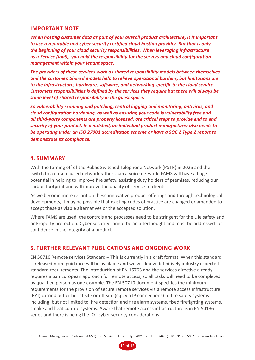# **IMPORTANT NOTE**

*When hosting customer data as part of your overall product architecture, it is important to use a reputable and cyber security certified cloud hosting provider. But that is only the beginning of your cloud security responsibilities. When leveraging Infrastructure as a Service (IaaS), you hold the responsibility for the servers and cloud configuration management within your tenant space.* 

*The providers of these services work as shared responsibility models between themselves and the customer. Shared models help to relieve operational burdens, but limitations are to the infrastructure, hardware, software, and networking specific to the cloud service. Customers responsibilities is defined by the services they require but there will always be some level of shared responsibility in the guest space.*

*So vulnerability scanning and patching, central logging and monitoring, antivirus, and cloud configuration hardening, as well as ensuring your code is vulnerability free and all third-party components are properly licensed, are critical steps to provide end to end security of your product. In a nutshell, an individual product manufacturer also needs to be operating under an ISO 27001 accreditation scheme or have a SOC 2 Type 2 report to demonstrate its compliance.*

# **4. SUMMARY**

With the turning off of the Public Switched Telephone Network (PSTN) in 2025 and the switch to a data focused network rather than a voice network. FAMS will have a huge potential in helping to improve fire safety, assisting duty holders of premises, reducing our carbon footprint and will improve the quality of service to clients.

As we become more reliant on these innovative product offerings and through technological developments, it may be possible that existing codes of practice are changed or amended to accept these as viable alternatives or the accepted solution.

Where FAMS are used, the controls and processes need to be stringent for the Life safety and or Property protection. Cyber security cannot be an afterthought and must be addressed for confidence in the integrity of a product.

# **5. FURTHER RELEVANT PUBLICATIONS AND ONGOING WORK**

EN 50710 Remote services Standard – This is currently in a draft format. When this standard is released more guidance will be available and we will know definitively industry expected standard requirements. The introduction of EN 16763 and the services directive already requires a pan European approach for remote access, so all tasks will need to be completed by qualified person as one example. The EN 50710 document specifies the minimum requirements for the provision of secure remote services via a remote access infrastructure (RAI) carried out either at site or off-site (e.g. via IP connections) to fire safety systems including, but not limited to, fire detection and fire alarm systems, fixed firefighting systems, smoke and heat control systems. Aware that remote access infrastructure is in EN 50136 series and there is being the IOT cyber security considerations.

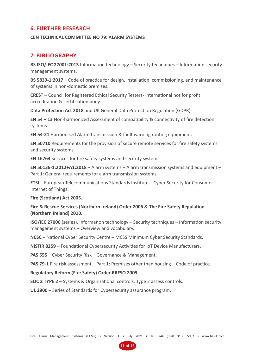# **6. FURTHER RESEARCH**

#### **CEN TECHNICAL COMMITTEE NO 79: ALARM SYSTEMS**

# **7. BIBLIOGRAPHY**

**BS ISO/IEC 27001:2013** Information technology – Security techniques – Information security management systems.

**BS 5839-1:2017** – Code of practice for design, installation, commissioning, and maintenance of systems in non-domestic premises.

**CREST** – Council for Registered Ethical Security Testers- International not for profit accreditation & certification body.

**Data Protection Act 2018** and UK General Data Protection Regulation (GDPR).

**EN 54 – 13** Non-harmonized Assessment of compatibility & connectivity of fire detection systems.

**EN 54-21** Harmonised Alarm transmission & fault warning routing equipment.

**EN 50710** Requirements for the provision of secure remote services for fire safety systems and security systems.

**EN 16763** Services for fire safety systems and security systems.

**EN 50136-1:2012+A1:2018** – Alarm systems – Alarm transmission systems and equipment – Part 1: General requirements for alarm transmission systems.

**ETSI** – European Telecommunications Standards Institute – Cyber Security for Consumer Internet of Things.

**Fire (Scotland) Act 2005.**

**Fire & Rescue Services (Northern Ireland) Order 2006 & The Fire Safety Regulation (Northern Ireland) 2010.**

**ISO/IEC 27000** (series), Information technology – Security techniques – Information security management systems – Overview and vocabulary.

**NCSC** – National Cyber Security Centre – MCSS Minimum Cyber Security Standards.

**NISTIR 8259** – Foundational Cybersecurity Activities for IoT Device Manufacturers.

**PAS 555** – Cyber Security Risk – Governance & Management.

**PAS 79-1** Fire risk assessment – Part 1: Premises other than housing – Code of practice.

**Regulatory Reform (Fire Safety) Order RRFSO 2005.** 

**SOC 2 TYPE 2** – Systems & Organizational controls. Type 2 assess controls.

**UL 2900** – Series of Standards for Cybersecurity assurance program.